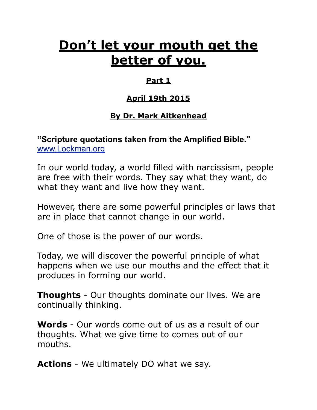# **Don't let your mouth get the better of you.**

## **Part 1**

## **April 19th 2015**

## **By Dr. Mark Aitkenhead**

## **"Scripture quotations taken from the Amplified Bible."**  [www.Lockman.org](http://www.lockman.org/tlf/pqform.php)

In our world today, a world filled with narcissism, people are free with their words. They say what they want, do what they want and live how they want.

However, there are some powerful principles or laws that are in place that cannot change in our world.

One of those is the power of our words.

Today, we will discover the powerful principle of what happens when we use our mouths and the effect that it produces in forming our world.

**Thoughts** - Our thoughts dominate our lives. We are continually thinking.

**Words** - Our words come out of us as a result of our thoughts. What we give time to comes out of our mouths.

**Actions** - We ultimately DO what we say.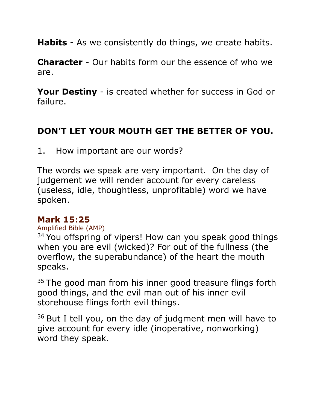**Habits** - As we consistently do things, we create habits.

**Character** - Our habits form our the essence of who we are.

**Your Destiny** - is created whether for success in God or failure.

# **DON'T LET YOUR MOUTH GET THE BETTER OF YOU.**

1. How important are our words?

The words we speak are very important. On the day of judgement we will render account for every careless (useless, idle, thoughtless, unprofitable) word we have spoken.

## **Mark 15:25**

#### Amplified Bible (AMP)

<sup>34</sup> You offspring of vipers! How can you speak good things when you are evil (wicked)? For out of the fullness (the overflow, the superabundance) of the heart the mouth speaks.

 $35$  The good man from his inner good treasure flings forth good things, and the evil man out of his inner evil storehouse flings forth evil things.

 $36$  But I tell you, on the day of judgment men will have to give account for every idle (inoperative, nonworking) word they speak.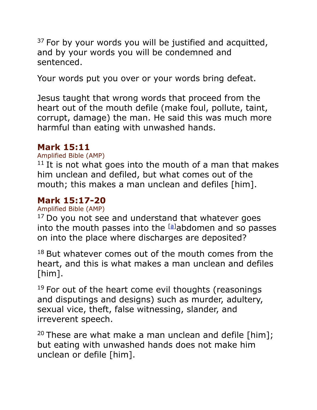$37$  For by your words you will be justified and acquitted, and by your words you will be condemned and sentenced.

Your words put you over or your words bring defeat.

Jesus taught that wrong words that proceed from the heart out of the mouth defile (make foul, pollute, taint, corrupt, damage) the man. He said this was much more harmful than eating with unwashed hands.

## **Mark 15:11**

#### Amplified Bible (AMP)

 $11$  It is not what goes into the mouth of a man that makes him unclean and defiled, but what comes out of the mouth; this makes a man unclean and defiles [him].

## **Mark 15:17-20**

Amplified Bible (AMP)

 $17$  Do you not see and understand that whatever goes into the mouth passes into the <sup>[[a\]](https://www.biblegateway.com/passage/?search=MATTHEW+15%3A17-20&version=AMP#fen-AMP-23651a)</sup>abdomen and so passes on into the place where discharges are deposited?

 $18$  But whatever comes out of the mouth comes from the heart, and this is what makes a man unclean and defiles [him].

 $19$  For out of the heart come evil thoughts (reasonings and disputings and designs) such as murder, adultery, sexual vice, theft, false witnessing, slander, and irreverent speech.

<sup>20</sup> These are what make a man unclean and defile [him]; but eating with unwashed hands does not make him unclean or defile [him].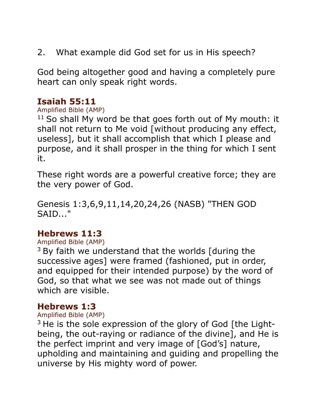2. What example did God set for us in His speech?

God being altogether good and having a completely pure heart can only speak right words.

## **Isaiah 55:11**

#### Amplified Bible (AMP)

 $11$  So shall My word be that goes forth out of My mouth: it shall not return to Me void [without producing any effect, useless], but it shall accomplish that which I please and purpose, and it shall prosper in the thing for which I sent it.

These right words are a powerful creative force; they are the very power of God.

Genesis 1:3,6,9,11,14,20,24,26 (NASB) "THEN GOD SAID..."

## **Hebrews 11:3**

#### Amplified Bible (AMP)

 $3$  By faith we understand that the worlds [during the successive ages] were framed (fashioned, put in order, and equipped for their intended purpose) by the word of God, so that what we see was not made out of things which are visible.

## **Hebrews 1:3**

#### Amplified Bible (AMP)

 $3$  He is the sole expression of the glory of God [the Lightbeing, the out-raying or radiance of the divine], and He is the perfect imprint and very image of [God's] nature, upholding and maintaining and guiding and propelling the universe by His mighty word of power.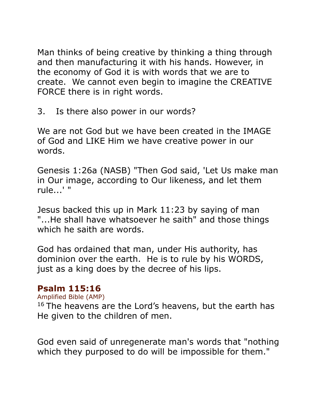Man thinks of being creative by thinking a thing through and then manufacturing it with his hands. However, in the economy of God it is with words that we are to create. We cannot even begin to imagine the CREATIVE FORCE there is in right words.

3. Is there also power in our words?

We are not God but we have been created in the IMAGE of God and LIKE Him we have creative power in our words.

Genesis 1:26a (NASB) "Then God said, 'Let Us make man in Our image, according to Our likeness, and let them rule...' "

Jesus backed this up in Mark 11:23 by saying of man "...He shall have whatsoever he saith" and those things which he saith are words.

God has ordained that man, under His authority, has dominion over the earth. He is to rule by his WORDS, just as a king does by the decree of his lips.

## **Psalm 115:16**

Amplified Bible (AMP)

 $16$  The heavens are the Lord's heavens, but the earth has He given to the children of men.

God even said of unregenerate man's words that "nothing which they purposed to do will be impossible for them."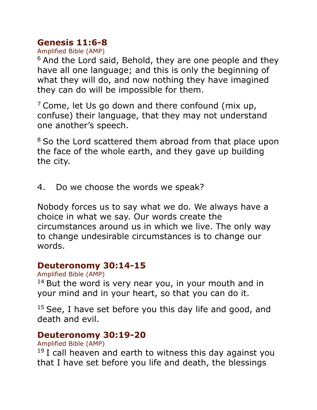# **Genesis 11:6-8**

Amplified Bible (AMP)

<sup>6</sup> And the Lord said, Behold, they are one people and they have all one language; and this is only the beginning of what they will do, and now nothing they have imagined they can do will be impossible for them.

 $<sup>7</sup>$  Come, let Us go down and there confound (mix up,</sup> confuse) their language, that they may not understand one another's speech.

<sup>8</sup> So the Lord scattered them abroad from that place upon the face of the whole earth, and they gave up building the city.

4. Do we choose the words we speak?

Nobody forces us to say what we do. We always have a choice in what we say. Our words create the circumstances around us in which we live. The only way to change undesirable circumstances is to change our words.

## **Deuteronomy 30:14-15**

#### Amplified Bible (AMP)

 $14$  But the word is very near you, in your mouth and in your mind and in your heart, so that you can do it.

 $15$  See, I have set before you this day life and good, and death and evil.

# **Deuteronomy 30:19-20**

Amplified Bible (AMP)

 $19$  I call heaven and earth to witness this day against you that I have set before you life and death, the blessings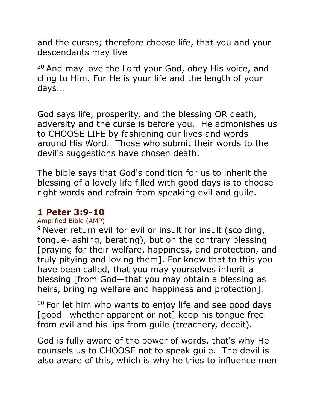and the curses; therefore choose life, that you and your descendants may live

<sup>20</sup> And may love the Lord your God, obey His voice, and cling to Him. For He is your life and the length of your days...

God says life, prosperity, and the blessing OR death, adversity and the curse is before you. He admonishes us to CHOOSE LIFE by fashioning our lives and words around His Word. Those who submit their words to the devil's suggestions have chosen death.

The bible says that God's condition for us to inherit the blessing of a lovely life filled with good days is to choose right words and refrain from speaking evil and guile.

## **1 Peter 3:9-10**

## Amplified Bible (AMP)

<sup>9</sup> Never return evil for evil or insult for insult (scolding, tongue-lashing, berating), but on the contrary blessing [praying for their welfare, happiness, and protection, and truly pitying and loving them]. For know that to this you have been called, that you may yourselves inherit a blessing [from God—that you may obtain a blessing as heirs, bringing welfare and happiness and protection].

 $10$  For let him who wants to enjoy life and see good days [good—whether apparent or not] keep his tongue free from evil and his lips from guile (treachery, deceit).

God is fully aware of the power of words, that's why He counsels us to CHOOSE not to speak guile. The devil is also aware of this, which is why he tries to influence men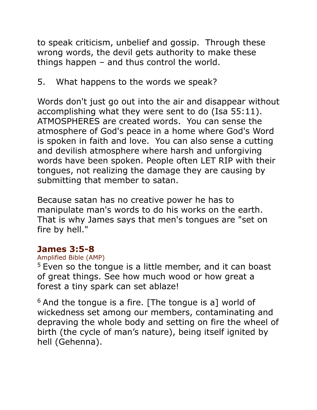to speak criticism, unbelief and gossip. Through these wrong words, the devil gets authority to make these things happen – and thus control the world.

# 5. What happens to the words we speak?

Words don't just go out into the air and disappear without accomplishing what they were sent to do (Isa 55:11). ATMOSPHERES are created words. You can sense the atmosphere of God's peace in a home where God's Word is spoken in faith and love. You can also sense a cutting and devilish atmosphere where harsh and unforgiving words have been spoken. People often LET RIP with their tongues, not realizing the damage they are causing by submitting that member to satan.

Because satan has no creative power he has to manipulate man's words to do his works on the earth. That is why James says that men's tongues are "set on fire by hell."

## **James 3:5-8**

## Amplified Bible (AMP)

 $5$  Even so the tongue is a little member, and it can boast of great things. See how much wood or how great a forest a tiny spark can set ablaze!

 $6$  And the tongue is a fire. [The tongue is a] world of wickedness set among our members, contaminating and depraving the whole body and setting on fire the wheel of birth (the cycle of man's nature), being itself ignited by hell (Gehenna).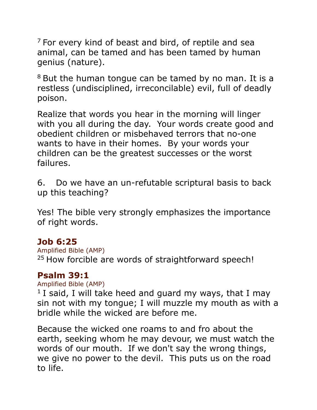$7$  For every kind of beast and bird, of reptile and sea animal, can be tamed and has been tamed by human genius (nature).

 $8$  But the human tongue can be tamed by no man. It is a restless (undisciplined, irreconcilable) evil, full of deadly poison.

Realize that words you hear in the morning will linger with you all during the day. Your words create good and obedient children or misbehaved terrors that no-one wants to have in their homes. By your words your children can be the greatest successes or the worst failures.

6. Do we have an un-refutable scriptural basis to back up this teaching?

Yes! The bible very strongly emphasizes the importance of right words.

## **Job 6:25**

Amplified Bible (AMP)  $25$  How forcible are words of straightforward speech!

# **Psalm 39:1**

Amplified Bible (AMP)

 $1$  I said, I will take heed and guard my ways, that I may sin not with my tongue; I will muzzle my mouth as with a bridle while the wicked are before me.

Because the wicked one roams to and fro about the earth, seeking whom he may devour, we must watch the words of our mouth. If we don't say the wrong things, we give no power to the devil. This puts us on the road to life.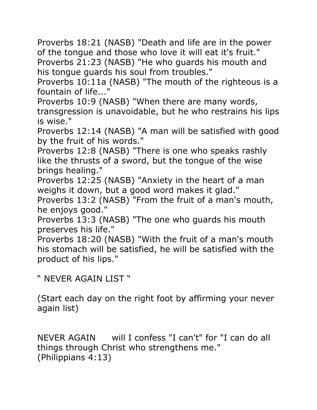Proverbs 18:21 (NASB) "Death and life are in the power of the tongue and those who love it will eat it's fruit." Proverbs 21:23 (NASB) "He who guards his mouth and his tongue guards his soul from troubles."

Proverbs 10:11a (NASB) "The mouth of the righteous is a fountain of life...'

Proverbs 10:9 (NASB) "When there are many words, transgression is unavoidable, but he who restrains his lips is wise."

Proverbs 12:14 (NASB) "A man will be satisfied with good by the fruit of his words."

Proverbs 12:8 (NASB) "There is one who speaks rashly like the thrusts of a sword, but the tongue of the wise brings healing."

Proverbs 12:25 (NASB) "Anxiety in the heart of a man weighs it down, but a good word makes it glad."

Proverbs 13:2 (NASB) "From the fruit of a man's mouth, he enjoys good."

Proverbs 13:3 (NASB) "The one who guards his mouth preserves his life."

Proverbs 18:20 (NASB) "With the fruit of a man's mouth his stomach will be satisfied, he will be satisfied with the product of his lips."

" NEVER AGAIN LIST "

(Start each day on the right foot by affirming your never again list)

NEVER AGAIN will I confess "I can't" for "I can do all things through Christ who strengthens me." (Philippians 4:13)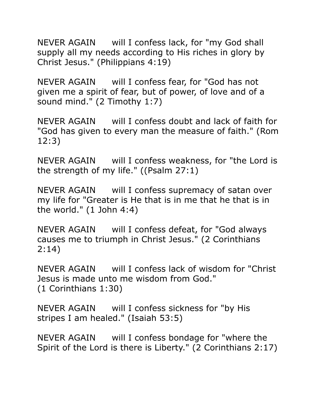NEVER AGAIN will I confess lack, for "my God shall supply all my needs according to His riches in glory by Christ Jesus." (Philippians 4:19)

NEVER AGAIN will I confess fear, for "God has not given me a spirit of fear, but of power, of love and of a sound mind." (2 Timothy 1:7)

NEVER AGAIN will I confess doubt and lack of faith for "God has given to every man the measure of faith." (Rom 12:3)

NEVER AGAIN will I confess weakness, for "the Lord is the strength of my life." ((Psalm 27:1)

NEVER AGAIN will I confess supremacy of satan over my life for "Greater is He that is in me that he that is in the world." (1 John 4:4)

NEVER AGAIN will I confess defeat, for "God always causes me to triumph in Christ Jesus." (2 Corinthians 2:14)

NEVER AGAIN will I confess lack of wisdom for "Christ Jesus is made unto me wisdom from God." (1 Corinthians 1:30)

NEVER AGAIN will I confess sickness for "by His stripes I am healed." (Isaiah 53:5)

NEVER AGAIN will I confess bondage for "where the Spirit of the Lord is there is Liberty." (2 Corinthians 2:17)